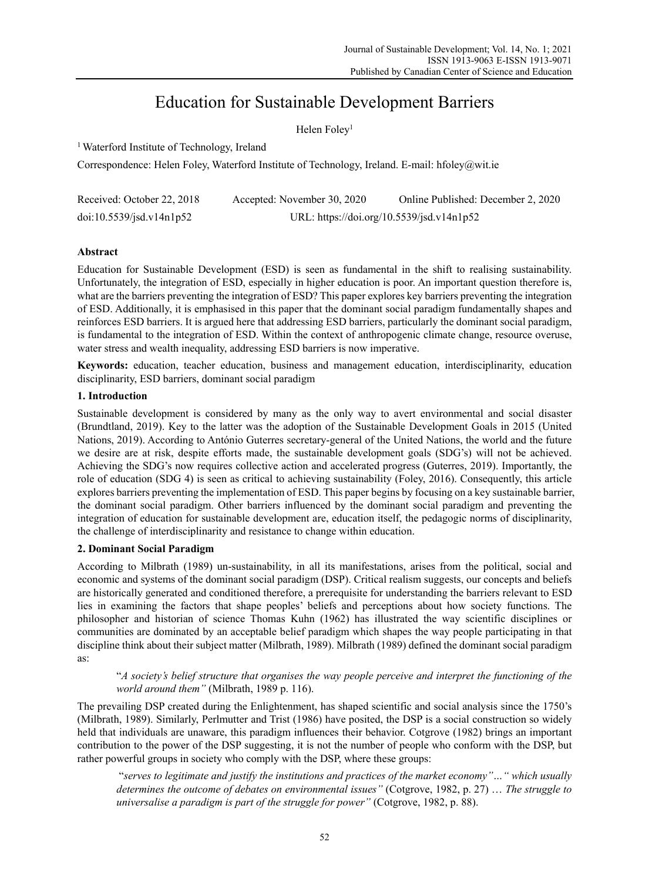# Education for Sustainable Development Barriers

Helen Foley<sup>1</sup>

1 Waterford Institute of Technology, Ireland

Correspondence: Helen Foley, Waterford Institute of Technology, Ireland. E-mail: hfoley@wit.ie

| Received: October 22, 2018 | Accepted: November 30, 2020               | Online Published: December 2, 2020 |
|----------------------------|-------------------------------------------|------------------------------------|
| doi:10.5539/jsd.v14n1p52   | URL: https://doi.org/10.5539/jsd.v14n1p52 |                                    |

# **Abstract**

Education for Sustainable Development (ESD) is seen as fundamental in the shift to realising sustainability. Unfortunately, the integration of ESD, especially in higher education is poor. An important question therefore is, what are the barriers preventing the integration of ESD? This paper explores key barriers preventing the integration of ESD. Additionally, it is emphasised in this paper that the dominant social paradigm fundamentally shapes and reinforces ESD barriers. It is argued here that addressing ESD barriers, particularly the dominant social paradigm, is fundamental to the integration of ESD. Within the context of anthropogenic climate change, resource overuse, water stress and wealth inequality, addressing ESD barriers is now imperative.

**Keywords:** education, teacher education, business and management education, interdisciplinarity, education disciplinarity, ESD barriers, dominant social paradigm

# **1. Introduction**

Sustainable development is considered by many as the only way to avert environmental and social disaster (Brundtland, 2019). Key to the latter was the adoption of the Sustainable Development Goals in 2015 (United Nations, 2019). According to António Guterres secretary-general of the United Nations, the world and the future we desire are at risk, despite efforts made, the sustainable development goals (SDG's) will not be achieved. Achieving the SDG's now requires collective action and accelerated progress (Guterres, 2019). Importantly, the role of education (SDG 4) is seen as critical to achieving sustainability (Foley, 2016). Consequently, this article explores barriers preventing the implementation of ESD. This paper begins by focusing on a key sustainable barrier, the dominant social paradigm. Other barriers influenced by the dominant social paradigm and preventing the integration of education for sustainable development are, education itself, the pedagogic norms of disciplinarity, the challenge of interdisciplinarity and resistance to change within education.

# **2. Dominant Social Paradigm**

According to Milbrath (1989) un-sustainability, in all its manifestations, arises from the political, social and economic and systems of the dominant social paradigm (DSP). Critical realism suggests, our concepts and beliefs are historically generated and conditioned therefore, a prerequisite for understanding the barriers relevant to ESD lies in examining the factors that shape peoples' beliefs and perceptions about how society functions. The philosopher and historian of science Thomas Kuhn (1962) has illustrated the way scientific disciplines or communities are dominated by an acceptable belief paradigm which shapes the way people participating in that discipline think about their subject matter (Milbrath, 1989). Milbrath (1989) defined the dominant social paradigm as:

"*A society's belief structure that organises the way people perceive and interpret the functioning of the world around them"* (Milbrath, 1989 p. 116).

The prevailing DSP created during the Enlightenment, has shaped scientific and social analysis since the 1750's (Milbrath, 1989). Similarly, Perlmutter and Trist (1986) have posited, the DSP is a social construction so widely held that individuals are unaware, this paradigm influences their behavior. Cotgrove (1982) brings an important contribution to the power of the DSP suggesting, it is not the number of people who conform with the DSP, but rather powerful groups in society who comply with the DSP, where these groups:

"*serves to legitimate and justify the institutions and practices of the market economy"…" which usually determines the outcome of debates on environmental issues"* (Cotgrove, 1982, p. 27) … *The struggle to universalise a paradigm is part of the struggle for power"* (Cotgrove, 1982, p. 88).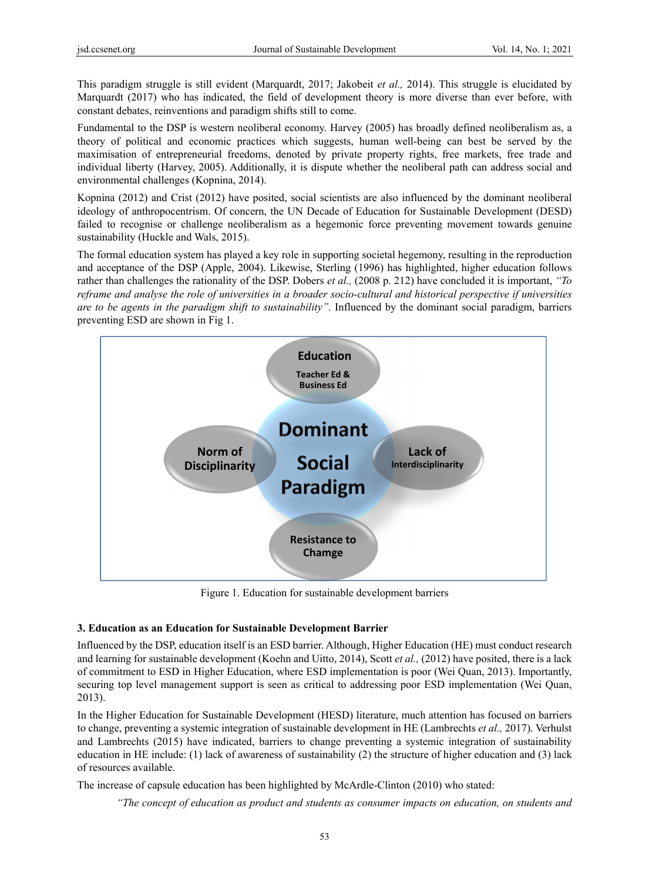This paradigm struggle is still evident (Marquardt, 2017; Jakobeit *et al.,* 2014). This struggle is elucidated by Marquardt (2017) who has indicated, the field of development theory is more diverse than ever before, with constant debates, reinventions and paradigm shifts still to come.

Fundamental to the DSP is western neoliberal economy. Harvey (2005) has broadly defined neoliberalism as, a theory of political and economic practices which suggests, human well-being can best be served by the maximisation of entrepreneurial freedoms, denoted by private property rights, free markets, free trade and individual liberty (Harvey, 2005). Additionally, it is dispute whether the neoliberal path can address social and environmental challenges (Kopnina, 2014).

Kopnina (2012) and Crist (2012) have posited, social scientists are also influenced by the dominant neoliberal ideology of anthropocentrism. Of concern, the UN Decade of Education for Sustainable Development (DESD) failed to recognise or challenge neoliberalism as a hegemonic force preventing movement towards genuine sustainability (Huckle and Wals, 2015).

The formal education system has played a key role in supporting societal hegemony, resulting in the reproduction and acceptance of the DSP (Apple, 2004). Likewise, Sterling (1996) has highlighted, higher education follows rather than challenges the rationality of the DSP. Dobers *et al.,* (2008 p. 212) have concluded it is important, *"To reframe and analyse the role of universities in a broader socio-cultural and historical perspective if universities are to be agents in the paradigm shift to sustainability"*. Influenced by the dominant social paradigm, barriers preventing ESD are shown in Fig 1.



Figure 1. Education for sustainable development barriers

#### **3. Education as an Education for Sustainable Development Barrier**

Influenced by the DSP, education itself is an ESD barrier. Although, Higher Education (HE) must conduct research and learning for sustainable development (Koehn and Uitto, 2014), Scott *et al.,* (2012) have posited, there is a lack of commitment to ESD in Higher Education, where ESD implementation is poor (Wei Quan, 2013). Importantly, securing top level management support is seen as critical to addressing poor ESD implementation (Wei Quan, 2013).

In the Higher Education for Sustainable Development (HESD) literature, much attention has focused on barriers to change, preventing a systemic integration of sustainable development in HE (Lambrechts *et al.,* 2017). Verhulst and Lambrechts (2015) have indicated, barriers to change preventing a systemic integration of sustainability education in HE include: (1) lack of awareness of sustainability (2) the structure of higher education and (3) lack of resources available.

The increase of capsule education has been highlighted by McArdle-Clinton (2010) who stated:

*"The concept of education as product and students as consumer impacts on education, on students and*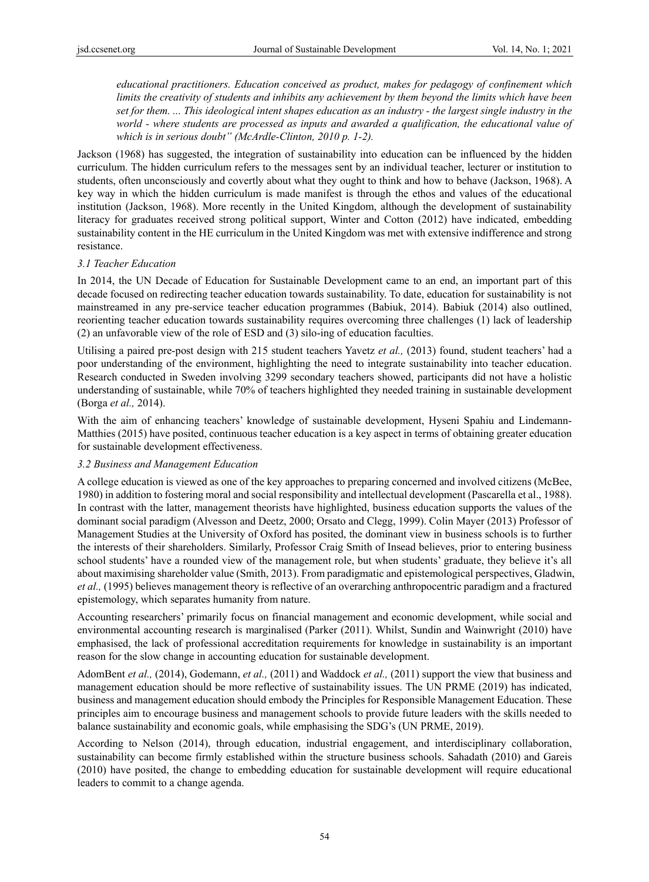*educational practitioners. Education conceived as product, makes for pedagogy of confinement which limits the creativity of students and inhibits any achievement by them beyond the limits which have been set for them. ... This ideological intent shapes education as an industry - the largest single industry in the world - where students are processed as inputs and awarded a qualification, the educational value of which is in serious doubt" (McArdle-Clinton, 2010 p. 1-2).*

Jackson (1968) has suggested, the integration of sustainability into education can be influenced by the hidden curriculum. The hidden curriculum refers to the messages sent by an individual teacher, lecturer or institution to students, often unconsciously and covertly about what they ought to think and how to behave (Jackson, 1968). A key way in which the hidden curriculum is made manifest is through the ethos and values of the educational institution (Jackson, 1968). More recently in the United Kingdom, although the development of sustainability literacy for graduates received strong political support, Winter and Cotton (2012) have indicated, embedding sustainability content in the HE curriculum in the United Kingdom was met with extensive indifference and strong resistance.

#### *3.1 Teacher Education*

In 2014, the UN Decade of Education for Sustainable Development came to an end, an important part of this decade focused on redirecting teacher education towards sustainability. To date, education for sustainability is not mainstreamed in any pre-service teacher education programmes (Babiuk, 2014). Babiuk (2014) also outlined, reorienting teacher education towards sustainability requires overcoming three challenges (1) lack of leadership (2) an unfavorable view of the role of ESD and (3) silo-ing of education faculties.

Utilising a paired pre-post design with 215 student teachers Yavetz *et al.,* (2013) found, student teachers' had a poor understanding of the environment, highlighting the need to integrate sustainability into teacher education. Research conducted in Sweden involving 3299 secondary teachers showed, participants did not have a holistic understanding of sustainable, while 70% of teachers highlighted they needed training in sustainable development (Borga *et al.,* 2014).

With the aim of enhancing teachers' knowledge of sustainable development, Hyseni Spahiu and Lindemann-Matthies (2015) have posited, continuous teacher education is a key aspect in terms of obtaining greater education for sustainable development effectiveness.

#### *3.2 Business and Management Education*

A college education is viewed as one of the key approaches to preparing concerned and involved citizens (McBee, 1980) in addition to fostering moral and social responsibility and intellectual development (Pascarella et al., 1988). In contrast with the latter, management theorists have highlighted, business education supports the values of the dominant social paradigm (Alvesson and Deetz, 2000; Orsato and Clegg, 1999). Colin Mayer (2013) Professor of Management Studies at the University of Oxford has posited, the dominant view in business schools is to further the interests of their shareholders. Similarly, Professor Craig Smith of Insead believes, prior to entering business school students' have a rounded view of the management role, but when students' graduate, they believe it's all about maximising shareholder value (Smith, 2013). From paradigmatic and epistemological perspectives, Gladwin, *et al.,* (1995) believes management theory is reflective of an overarching anthropocentric paradigm and a fractured epistemology, which separates humanity from nature.

Accounting researchers' primarily focus on financial management and economic development, while social and environmental accounting research is marginalised (Parker (2011). Whilst, Sundin and Wainwright (2010) have emphasised, the lack of professional accreditation requirements for knowledge in sustainability is an important reason for the slow change in accounting education for sustainable development.

AdomBent *et al.,* (2014), Godemann, *et al.,* (2011) and Waddock *et al.,* (2011) support the view that business and management education should be more reflective of sustainability issues. The UN PRME (2019) has indicated, business and management education should embody the Principles for Responsible Management Education. These principles aim to encourage business and management schools to provide future leaders with the skills needed to balance sustainability and economic goals, while emphasising the SDG's (UN PRME, 2019).

According to Nelson (2014), through education, industrial engagement, and interdisciplinary collaboration, sustainability can become firmly established within the structure business schools. Sahadath (2010) and Gareis (2010) have posited, the change to embedding education for sustainable development will require educational leaders to commit to a change agenda.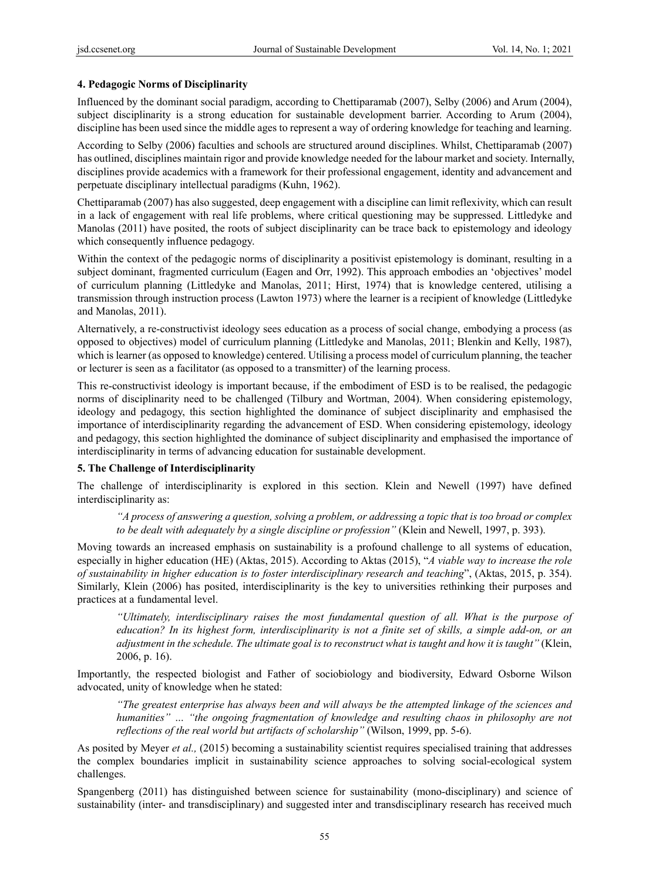# **4. Pedagogic Norms of Disciplinarity**

Influenced by the dominant social paradigm, according to Chettiparamab (2007), Selby (2006) and Arum (2004), subject disciplinarity is a strong education for sustainable development barrier. According to Arum (2004), discipline has been used since the middle ages to represent a way of ordering knowledge for teaching and learning.

According to Selby (2006) faculties and schools are structured around disciplines. Whilst, Chettiparamab (2007) has outlined, disciplines maintain rigor and provide knowledge needed for the labour market and society. Internally, disciplines provide academics with a framework for their professional engagement, identity and advancement and perpetuate disciplinary intellectual paradigms (Kuhn, 1962).

Chettiparamab (2007) has also suggested, deep engagement with a discipline can limit reflexivity, which can result in a lack of engagement with real life problems, where critical questioning may be suppressed. Littledyke and Manolas (2011) have posited, the roots of subject disciplinarity can be trace back to epistemology and ideology which consequently influence pedagogy.

Within the context of the pedagogic norms of disciplinarity a positivist epistemology is dominant, resulting in a subject dominant, fragmented curriculum (Eagen and Orr, 1992). This approach embodies an 'objectives' model of curriculum planning (Littledyke and Manolas, 2011; Hirst, 1974) that is knowledge centered, utilising a transmission through instruction process (Lawton 1973) where the learner is a recipient of knowledge (Littledyke and Manolas, 2011).

Alternatively, a re-constructivist ideology sees education as a process of social change, embodying a process (as opposed to objectives) model of curriculum planning (Littledyke and Manolas, 2011; Blenkin and Kelly, 1987), which is learner (as opposed to knowledge) centered. Utilising a process model of curriculum planning, the teacher or lecturer is seen as a facilitator (as opposed to a transmitter) of the learning process.

This re-constructivist ideology is important because, if the embodiment of ESD is to be realised, the pedagogic norms of disciplinarity need to be challenged (Tilbury and Wortman, 2004). When considering epistemology, ideology and pedagogy, this section highlighted the dominance of subject disciplinarity and emphasised the importance of interdisciplinarity regarding the advancement of ESD. When considering epistemology, ideology and pedagogy, this section highlighted the dominance of subject disciplinarity and emphasised the importance of interdisciplinarity in terms of advancing education for sustainable development.

### **5. The Challenge of Interdisciplinarity**

The challenge of interdisciplinarity is explored in this section. Klein and Newell (1997) have defined interdisciplinarity as:

*"A process of answering a question, solving a problem, or addressing a topic that is too broad or complex to be dealt with adequately by a single discipline or profession"* (Klein and Newell, 1997, p. 393).

Moving towards an increased emphasis on sustainability is a profound challenge to all systems of education, especially in higher education (HE) (Aktas, 2015). According to Aktas (2015), "*A viable way to increase the role of sustainability in higher education is to foster interdisciplinary research and teaching*", (Aktas, 2015, p. 354). Similarly, Klein (2006) has posited, interdisciplinarity is the key to universities rethinking their purposes and practices at a fundamental level.

*"Ultimately, interdisciplinary raises the most fundamental question of all. What is the purpose of education? In its highest form, interdisciplinarity is not a finite set of skills, a simple add-on, or an adjustment in the schedule. The ultimate goal is to reconstruct what is taught and how it is taught"* (Klein, 2006, p. 16).

Importantly, the respected biologist and Father of sociobiology and biodiversity, Edward Osborne Wilson advocated, unity of knowledge when he stated:

*"The greatest enterprise has always been and will always be the attempted linkage of the sciences and humanities" … "the ongoing fragmentation of knowledge and resulting chaos in philosophy are not reflections of the real world but artifacts of scholarship"* (Wilson, 1999, pp. 5-6).

As posited by Meyer *et al.,* (2015) becoming a sustainability scientist requires specialised training that addresses the complex boundaries implicit in sustainability science approaches to solving social-ecological system challenges.

Spangenberg (2011) has distinguished between science for sustainability (mono-disciplinary) and science of sustainability (inter- and transdisciplinary) and suggested inter and transdisciplinary research has received much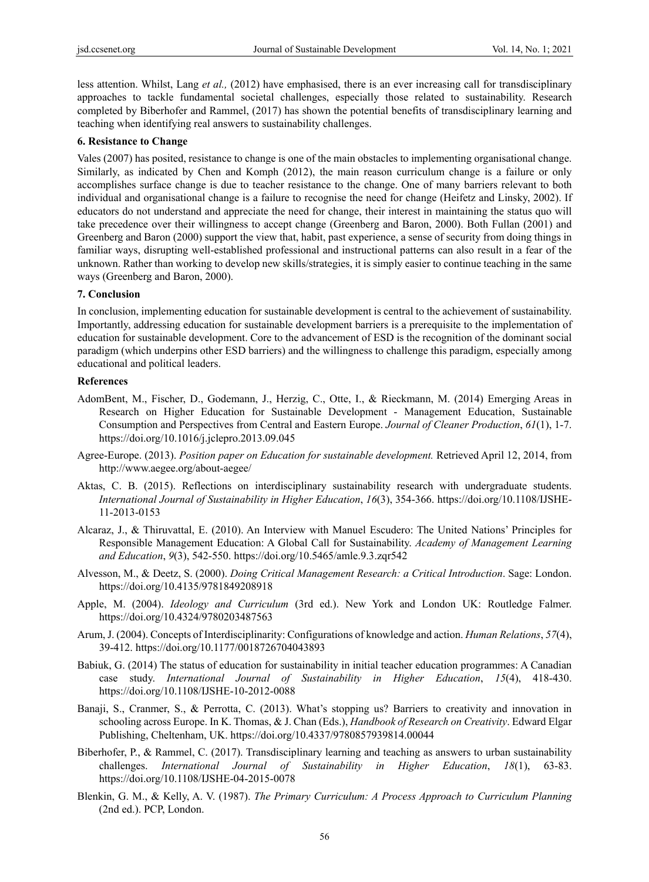less attention. Whilst, Lang *et al.,* (2012) have emphasised, there is an ever increasing call for transdisciplinary approaches to tackle fundamental societal challenges, especially those related to sustainability. Research completed by Biberhofer and Rammel, (2017) has shown the potential benefits of transdisciplinary learning and teaching when identifying real answers to sustainability challenges.

#### **6. Resistance to Change**

Vales (2007) has posited, resistance to change is one of the main obstacles to implementing organisational change. Similarly, as indicated by Chen and Komph (2012), the main reason curriculum change is a failure or only accomplishes surface change is due to teacher resistance to the change. One of many barriers relevant to both individual and organisational change is a failure to recognise the need for change (Heifetz and Linsky, 2002). If educators do not understand and appreciate the need for change, their interest in maintaining the status quo will take precedence over their willingness to accept change (Greenberg and Baron, 2000). Both Fullan (2001) and Greenberg and Baron (2000) support the view that, habit, past experience, a sense of security from doing things in familiar ways, disrupting well-established professional and instructional patterns can also result in a fear of the unknown. Rather than working to develop new skills/strategies, it is simply easier to continue teaching in the same ways (Greenberg and Baron, 2000).

# **7. Conclusion**

In conclusion, implementing education for sustainable development is central to the achievement of sustainability. Importantly, addressing education for sustainable development barriers is a prerequisite to the implementation of education for sustainable development. Core to the advancement of ESD is the recognition of the dominant social paradigm (which underpins other ESD barriers) and the willingness to challenge this paradigm, especially among educational and political leaders.

#### **References**

- AdomBent, M., Fischer, D., Godemann, J., Herzig, C., Otte, I., & Rieckmann, M. (2014) Emerging Areas in Research on Higher Education for Sustainable Development - Management Education, Sustainable Consumption and Perspectives from Central and Eastern Europe. *Journal of Cleaner Production*, *61*(1), 1-7. https://doi.org/10.1016/j.jclepro.2013.09.045
- Agree-Europe. (2013). *Position paper on Education for sustainable development.* Retrieved April 12, 2014, from http://www.aegee.org/about-aegee/
- Aktas, C. B. (2015). Reflections on interdisciplinary sustainability research with undergraduate students. *International Journal of Sustainability in Higher Education*, *16*(3), 354-366. https://doi.org/10.1108/IJSHE-11-2013-0153
- Alcaraz, J., & Thiruvattal, E. (2010). An Interview with Manuel Escudero: The United Nations' Principles for Responsible Management Education: A Global Call for Sustainability. *Academy of Management Learning and Education*, *9*(3), 542-550. https://doi.org/10.5465/amle.9.3.zqr542
- Alvesson, M., & Deetz, S. (2000). *Doing Critical Management Research: a Critical Introduction*. Sage: London. https://doi.org/10.4135/9781849208918
- Apple, M. (2004). *Ideology and Curriculum* (3rd ed.). New York and London UK: Routledge Falmer. https://doi.org/10.4324/9780203487563
- Arum, J. (2004). Concepts of Interdisciplinarity: Configurations of knowledge and action. *Human Relations*, *57*(4), 39-412. https://doi.org/10.1177/0018726704043893
- Babiuk, G. (2014) The status of education for sustainability in initial teacher education programmes: A Canadian case study. *International Journal of Sustainability in Higher Education*, *15*(4), 418-430. https://doi.org/10.1108/IJSHE-10-2012-0088
- Banaji, S., Cranmer, S., & Perrotta, C. (2013). What's stopping us? Barriers to creativity and innovation in schooling across Europe. In K. Thomas, & J. Chan (Eds.), *Handbook of Research on Creativity*. Edward Elgar Publishing, Cheltenham, UK. https://doi.org/10.4337/9780857939814.00044
- Biberhofer, P., & Rammel, C. (2017). Transdisciplinary learning and teaching as answers to urban sustainability challenges. *International Journal of Sustainability in Higher Education*, *18*(1), 63-83. https://doi.org/10.1108/IJSHE-04-2015-0078
- Blenkin, G. M., & Kelly, A. V. (1987). *The Primary Curriculum: A Process Approach to Curriculum Planning* (2nd ed.). PCP, London.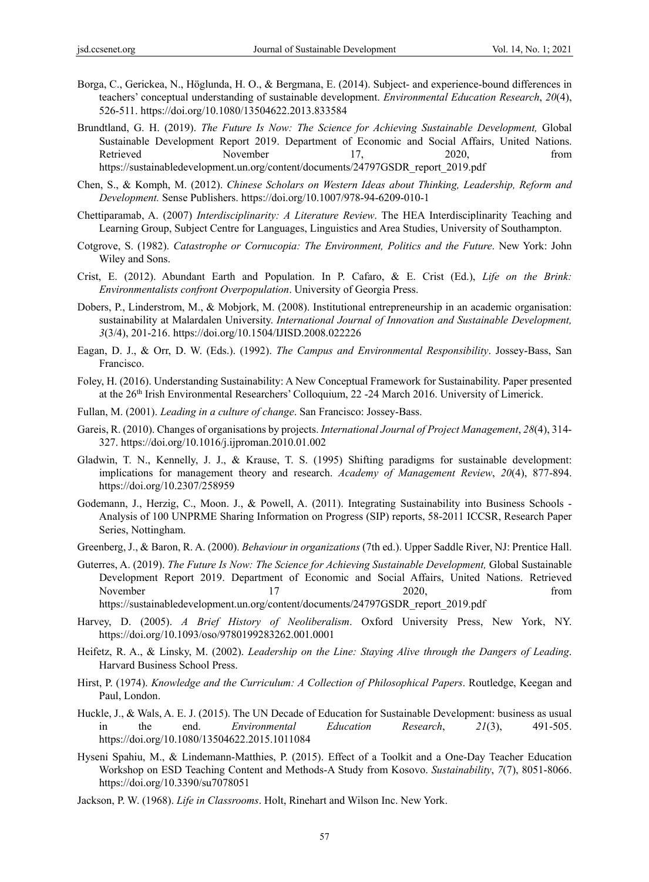- Borga, C., Gerickea, N., Höglunda, H. O., & Bergmana, E. (2014). Subject- and experience-bound differences in teachers' conceptual understanding of sustainable development. *Environmental Education Research*, *20*(4), 526-511. https://doi.org/10.1080/13504622.2013.833584
- Brundtland, G. H. (2019). *The Future Is Now: The Science for Achieving Sustainable Development,* Global Sustainable Development Report 2019. Department of Economic and Social Affairs, United Nations. Retrieved November 17, 2020, from https://sustainabledevelopment.un.org/content/documents/24797GSDR\_report\_2019.pdf
- Chen, S., & Komph, M. (2012). *Chinese Scholars on Western Ideas about Thinking, Leadership, Reform and Development.* Sense Publishers. https://doi.org/10.1007/978-94-6209-010-1
- Chettiparamab, A. (2007) *Interdisciplinarity: A Literature Review*. The HEA Interdisciplinarity Teaching and Learning Group, Subject Centre for Languages, Linguistics and Area Studies, University of Southampton.
- Cotgrove, S. (1982). *Catastrophe or Cornucopia: The Environment, Politics and the Future*. New York: John Wiley and Sons.
- Crist, E. (2012). Abundant Earth and Population. In P. Cafaro, & E. Crist (Ed.), *Life on the Brink: Environmentalists confront Overpopulation*. University of Georgia Press.
- Dobers, P., Linderstrom, M., & Mobjork, M. (2008). Institutional entrepreneurship in an academic organisation: sustainability at Malardalen University. *International Journal of Innovation and Sustainable Development, 3*(3/4), 201-216. https://doi.org/10.1504/IJISD.2008.022226
- Eagan, D. J., & Orr, D. W. (Eds.). (1992). *The Campus and Environmental Responsibility*. Jossey-Bass, San Francisco.
- Foley, H. (2016). Understanding Sustainability: A New Conceptual Framework for Sustainability. Paper presented at the 26th Irish Environmental Researchers' Colloquium, 22 -24 March 2016. University of Limerick.
- Fullan, M. (2001). *Leading in a culture of change*. San Francisco: Jossey-Bass.
- Gareis, R. (2010). Changes of organisations by projects. *International Journal of Project Management*, *28*(4), 314- 327. https://doi.org/10.1016/j.ijproman.2010.01.002
- Gladwin, T. N., Kennelly, J. J., & Krause, T. S. (1995) Shifting paradigms for sustainable development: implications for management theory and research. *Academy of Management Review*, *20*(4), 877-894. https://doi.org/10.2307/258959
- Godemann, J., Herzig, C., Moon. J., & Powell, A. (2011). Integrating Sustainability into Business Schools Analysis of 100 UNPRME Sharing Information on Progress (SIP) reports, 58-2011 ICCSR, Research Paper Series, Nottingham.
- Greenberg, J., & Baron, R. A. (2000). *Behaviour in organizations* (7th ed.). Upper Saddle River, NJ: Prentice Hall.
- Guterres, A. (2019). *The Future Is Now: The Science for Achieving Sustainable Development,* Global Sustainable Development Report 2019. Department of Economic and Social Affairs, United Nations. Retrieved November 17 2020, from

https://sustainabledevelopment.un.org/content/documents/24797GSDR\_report\_2019.pdf

- Harvey, D. (2005). *A Brief History of Neoliberalism*. Oxford University Press, New York, NY. https://doi.org/10.1093/oso/9780199283262.001.0001
- Heifetz, R. A., & Linsky, M. (2002). *Leadership on the Line: Staying Alive through the Dangers of Leading*. Harvard Business School Press.
- Hirst, P. (1974). *Knowledge and the Curriculum: A Collection of Philosophical Papers*. Routledge, Keegan and Paul, London.
- Huckle, J., & Wals, A. E. J. (2015). The UN Decade of Education for Sustainable Development: business as usual in the end. *Environmental Education Research*, *21*(3), 491-505. https://doi.org/10.1080/13504622.2015.1011084
- Hyseni Spahiu, M., & Lindemann-Matthies, P. (2015). Effect of a Toolkit and a One-Day Teacher Education Workshop on ESD Teaching Content and Methods-A Study from Kosovo. *Sustainability*, *7*(7), 8051-8066. https://doi.org/10.3390/su7078051
- Jackson, P. W. (1968). *Life in Classrooms*. Holt, Rinehart and Wilson Inc. New York.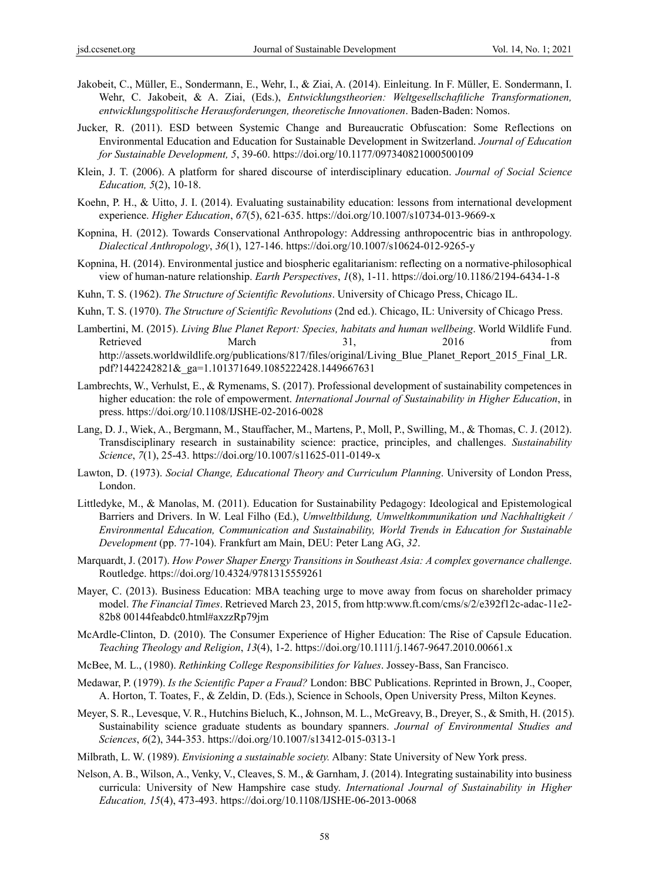- Jakobeit, C., Müller, E., Sondermann, E., Wehr, I., & Ziai, A. (2014). Einleitung. In F. Müller, E. Sondermann, I. Wehr, C. Jakobeit, & A. Ziai, (Eds.), *Entwicklungstheorien: Weltgesellschaftliche Transformationen, entwicklungspolitische Herausforderungen, theoretische Innovationen*. Baden-Baden: Nomos.
- Jucker, R. (2011). ESD between Systemic Change and Bureaucratic Obfuscation: Some Reflections on Environmental Education and Education for Sustainable Development in Switzerland. *Journal of Education for Sustainable Development, 5*, 39-60. https://doi.org/10.1177/097340821000500109
- Klein, J. T. (2006). A platform for shared discourse of interdisciplinary education. *Journal of Social Science Education, 5*(2), 10-18.
- Koehn, P. H., & Uitto, J. I. (2014). Evaluating sustainability education: lessons from international development experience. *Higher Education*, *67*(5), 621-635. https://doi.org/10.1007/s10734-013-9669-x
- Kopnina, H. (2012). Towards Conservational Anthropology: Addressing anthropocentric bias in anthropology. *Dialectical Anthropology*, *36*(1), 127-146. https://doi.org/10.1007/s10624-012-9265-y
- Kopnina, H. (2014). Environmental justice and biospheric egalitarianism: reflecting on a normative-philosophical view of human-nature relationship. *Earth Perspectives*, *1*(8), 1-11. https://doi.org/10.1186/2194-6434-1-8
- Kuhn, T. S. (1962). *The Structure of Scientific Revolutions*. University of Chicago Press, Chicago IL.
- Kuhn, T. S. (1970). *The Structure of Scientific Revolutions* (2nd ed.). Chicago, IL: University of Chicago Press.
- Lambertini, M. (2015). *Living Blue Planet Report: Species, habitats and human wellbeing*. World Wildlife Fund. Retrieved March 31, 2016 from http://assets.worldwildlife.org/publications/817/files/original/Living\_Blue\_Planet\_Report\_2015\_Final\_LR. pdf?1442242821&\_ga=1.101371649.1085222428.1449667631
- Lambrechts, W., Verhulst, E., & Rymenams, S. (2017). Professional development of sustainability competences in higher education: the role of empowerment. *International Journal of Sustainability in Higher Education*, in press. https://doi.org/10.1108/IJSHE-02-2016-0028
- Lang, D. J., Wiek, A., Bergmann, M., Stauffacher, M., Martens, P., Moll, P., Swilling, M., & Thomas, C. J. (2012). Transdisciplinary research in sustainability science: practice, principles, and challenges. *Sustainability Science*, *7*(1), 25-43. https://doi.org/10.1007/s11625-011-0149-x
- Lawton, D. (1973). *Social Change, Educational Theory and Curriculum Planning*. University of London Press, London.
- Littledyke, M., & Manolas, M. (2011). Education for Sustainability Pedagogy: Ideological and Epistemological Barriers and Drivers. In W. Leal Filho (Ed.), *Umweltbildung, Umweltkommunikation und Nachhaltigkeit / Environmental Education, Communication and Sustainability, World Trends in Education for Sustainable Development* (pp. 77-104). Frankfurt am Main, DEU: Peter Lang AG, *32*.
- Marquardt, J. (2017). *How Power Shaper Energy Transitions in Southeast Asia: A complex governance challenge*. Routledge. https://doi.org/10.4324/9781315559261
- Mayer, C. (2013). Business Education: MBA teaching urge to move away from focus on shareholder primacy model. *The Financial Times*. Retrieved March 23, 2015, from http:www.ft.com/cms/s/2/e392f12c-adac-11e2- 82b8 00144feabdc0.html#axzzRp79jm
- McArdle-Clinton, D. (2010). The Consumer Experience of Higher Education: The Rise of Capsule Education. *Teaching Theology and Religion*, *13*(4), 1-2. https://doi.org/10.1111/j.1467-9647.2010.00661.x
- McBee, M. L., (1980). *Rethinking College Responsibilities for Values*. Jossey-Bass, San Francisco.
- Medawar, P. (1979). *Is the Scientific Paper a Fraud?* London: BBC Publications. Reprinted in Brown, J., Cooper, A. Horton, T. Toates, F., & Zeldin, D. (Eds.), Science in Schools, Open University Press, Milton Keynes.
- Meyer, S. R., Levesque, V. R., Hutchins Bieluch, K., Johnson, M. L., McGreavy, B., Dreyer, S., & Smith, H. (2015). Sustainability science graduate students as boundary spanners. *Journal of Environmental Studies and Sciences*, *6*(2), 344-353. https://doi.org/10.1007/s13412-015-0313-1
- Milbrath, L. W. (1989). *Envisioning a sustainable society.* Albany: State University of New York press.
- Nelson, A. B., Wilson, A., Venky, V., Cleaves, S. M., & Garnham, J. (2014). Integrating sustainability into business curricula: University of New Hampshire case study. *International Journal of Sustainability in Higher Education, 15*(4), 473-493. https://doi.org/10.1108/IJSHE-06-2013-0068